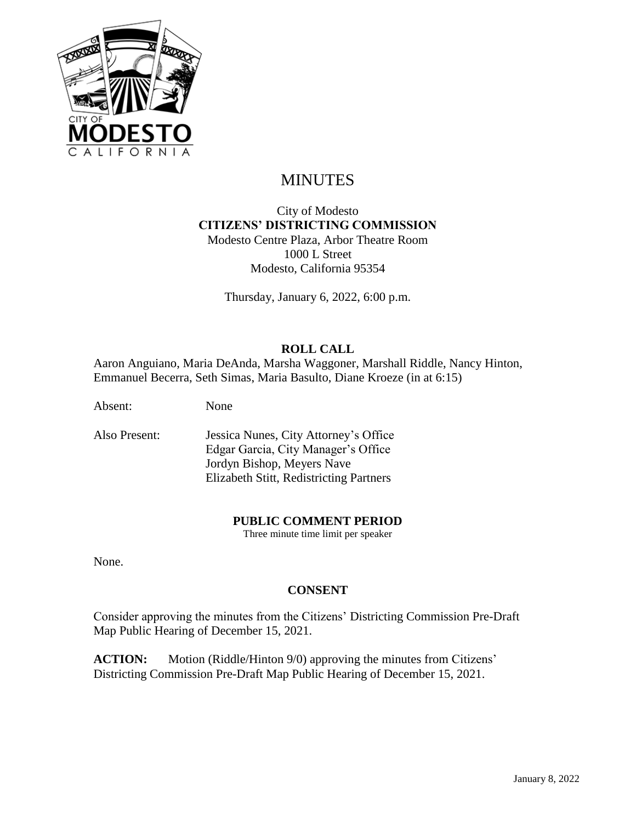

# MINUTES

### City of Modesto **CITIZENS' DISTRICTING COMMISSION** Modesto Centre Plaza, Arbor Theatre Room 1000 L Street Modesto, California 95354

Thursday, January 6, 2022, 6:00 p.m.

## **ROLL CALL**

Aaron Anguiano, Maria DeAnda, Marsha Waggoner, Marshall Riddle, Nancy Hinton, Emmanuel Becerra, Seth Simas, Maria Basulto, Diane Kroeze (in at 6:15)

Absent: None

Also Present: Jessica Nunes, City Attorney's Office Edgar Garcia, City Manager's Office Jordyn Bishop, Meyers Nave Elizabeth Stitt, Redistricting Partners

#### **PUBLIC COMMENT PERIOD**

Three minute time limit per speaker

None.

#### **CONSENT**

Consider approving the minutes from the Citizens' Districting Commission Pre-Draft Map Public Hearing of December 15, 2021.

**ACTION:** Motion (Riddle/Hinton 9/0) approving the minutes from Citizens' Districting Commission Pre-Draft Map Public Hearing of December 15, 2021.